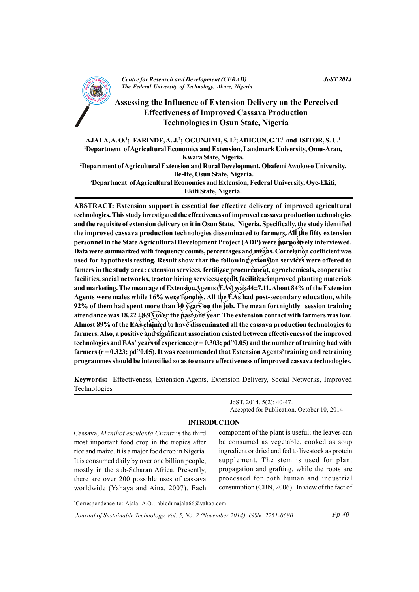

# **Assessing the Influence of Extension Delivery on the Perceived Effectiveness of Improved Cassava Production Technologies in Osun State, Nigeria**

AJALA, A.O.<sup>1</sup>; FARINDE, A. J.<sup>2</sup>; OGUNJIMI, S. I.<sup>3</sup>; ADIGUN, G. T.<sup>1</sup> and ISITOR, S. U.<sup>1</sup> <sup>1</sup>Department of Agricultural Economics and Extension, Landmark University, Omu-Aran, Kwara State, Nigeria. <sup>2</sup>Department of Agricultural Extension and Rural Development, Obafemi Awolowo University, Ile-Ife, Osun State, Nigeria. <sup>3</sup>Department of Agricultural Economics and Extension, Federal University, Oye-Ekiti, Ekiti State, Nigeria.

ABSTRACT: Extension support is essential for effective delivery of improved agricultural technologies. This study investigated the effectiveness of improved cassava production technologies and the requisite of extension delivery on it in Osun State, Nigeria. Specifically, the study identified the improved cassava production technologies disseminated to farmers. All the fifty extension personnel in the State Agricultural Development Project (ADP) were purposively interviewed. Data were summarized with frequency counts, percentages and means. Correlation coefficient was used for hypothesis testing. Result show that the following extension services were offered to famers in the study area: extension services, fertilizer procurement, agrochemicals, cooperative facilities, social networks, tractor hiring services, credit facilities, improved planting materials and marketing. The mean age of Extension Agents (EAs) was 44±7.11. About 84% of the Extension Agents were males while 16% were females. All the EAs had post-secondary education, while 92% of them had spent more than  $\frac{1}{2}0$  years on the job. The mean fortnightly session training attendance was  $18.22 \pm 8.93$  over the past one year. The extension contact with farmers was low. Almost 89% of the EAs claimed to have disseminated all the cassava production technologies to farmers. Also, a positive and significant association existed between effectiveness of the improved technologies and EAs' years of experience  $(r = 0.303; pd"0.05)$  and the number of training had with farmers  $(r = 0.323; pd"0.05)$ . It was recommended that Extension Agents' training and retraining programmes should be intensified so as to ensure effectiveness of improved cassava technologies.

Keywords: Effectiveness, Extension Agents, Extension Delivery, Social Networks, Improved Technologies

> JoST. 2014. 5(2): 40-47. Accepted for Publication, October 10, 2014

### **INTRODUCTION**

Cassava, Manihot esculenta Crantz is the third most important food crop in the tropics after rice and maize. It is a major food crop in Nigeria. It is consumed daily by over one billion people, mostly in the sub-Saharan Africa. Presently, there are over 200 possible uses of cassava worldwide (Yahaya and Aina, 2007). Each

component of the plant is useful; the leaves can be consumed as vegetable, cooked as soup ingredient or dried and fed to livestock as protein supplement. The stem is used for plant propagation and grafting, while the roots are processed for both human and industrial consumption (CBN, 2006). In view of the fact of

\*Correspondence to: Ajala, A.O.; abiodunajala66@yahoo.com

Journal of Sustainable Technology, Vol. 5, No. 2 (November 2014), ISSN: 2251-0680

 $Pp 40$ 

**JoST 2014**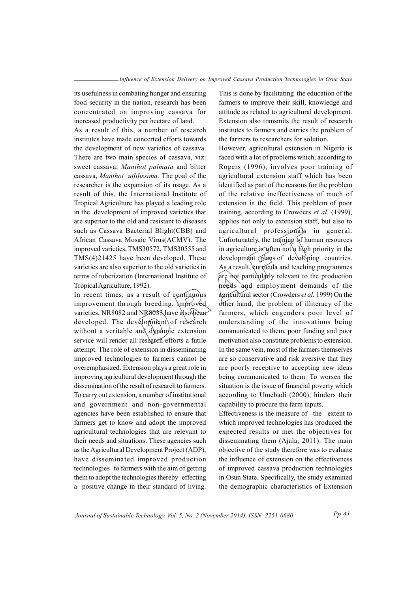its usefulness in combating hunger and ensuring food security in the nation, research has been concentrated on improving cassava for increased productivity per hectare of land.

As a result of this, a number of research institutes have made concerted efforts towards the development of new varieties of cassava. There are two main species of cassava, viz: sweet cassava, Manihot palmata and bitter cassava, Manihot utilissima. The goal of the researcher is the expansion of its usage. As a result of this, the International Institute of Tropical Agriculture has played a leading role in the development of improved varieties that are superior to the old and resistant to diseases such as Cassava Bacterial Blight(CBB) and African Cassava Mosaic Virus(ACMV). The improved varieties, TMS30572, TMS30555 and TMS(4)21425 have been developed. These varieties are also superior to the old varieties in terms of tuberization (International Institute of Tropical Agriculture, 1992).

In recent times, as a result of continuous improvement through breeding, improved varieties, NR8082 and NR8033 have also been developed. The development of research without a veritable and dynamic extension service will render all research efforts a futile attempt. The role of extension in disseminating improved technologies to farmers cannot be overemphasized. Extension plays a great role in improving agricultural development through the dissemination of the result of research to farmers. To carry out extension, a number of institutional and government and non-governmental agencies have been established to ensure that farmers get to know and adopt the improved agricultural technologies that are relevant to their needs and situations. These agencies such as the Agricultural Development Project (ADP), have disseminated improved production technologies to farmers with the aim of getting them to adopt the technologies thereby effecting a positive change in their standard of living.

This is done by facilitating the education of the farmers to improve their skill, knowledge and attitude as related to agricultural development. Extension also transmits the result of research institutes to farmers and carries the problem of the farmers to researchers for solution.

However, agricultural extension in Nigeria is faced with a lot of problems which, according to Rogers (1996), involves poor training of agricultural extension staff which has been identified as part of the reasons for the problem of the relative ineffectiveness of much of extension in the field. This problem of poor training, according to Crowders et al. (1999). applies not only to extension staff, but also to agricultural professionals in general. Unfortunately, the training of human resources in agriculture is often not a high priority in the development plans of developing countries. As a result, curricula and teaching programmes are not particularly relevant to the production heeds and employment demands of the agricultural sector (Crowders et al. 1999) On the other hand, the problem of illiteracy of the farmers, which engenders poor level of understanding of the innovations being communicated to them, poor funding and poor motivation also constitute problems to extension. In the same vein, most of the farmers themselves are so conservative and risk aversive that they are poorly receptive to accepting new ideas being communicated to them. To worsen the situation is the issue of financial poverty which according to Umebadi (2000), hinders their capability to procure the farm inputs.

Effectiveness is the measure of the extent to which improved technologies has produced the expected results or met the objectives for disseminating them (Ajala, 2011). The main objective of the study therefore was to evaluate the influence of extension on the effectiveness of improved cassava production technologies in Osun State. Specifically, the study examined the demographic characteristics of Extension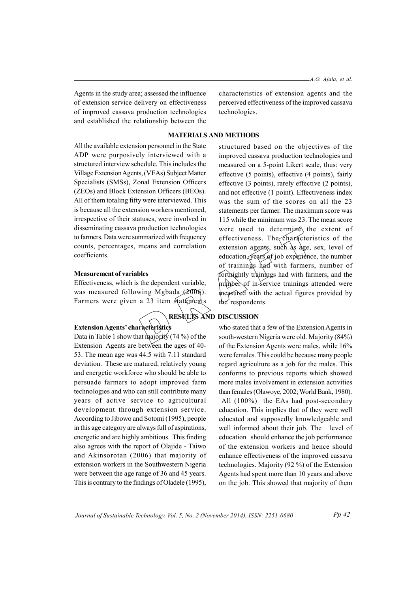Agents in the study area; assessed the influence of extension service delivery on effectiveness of improved cassava production technologies and established the relationship between the

characteristics of extension agents and the perceived effectiveness of the improved cassava technologies.

### **MATERIALS AND METHODS**

All the available extension personnel in the State ADP were purposively interviewed with a structured interview schedule. This includes the Village Extension Agents, (VEAs) Subject Matter Specialists (SMSs), Zonal Extension Officers (ZEOs) and Block Extension Officers (BEOs). All of them totaling fifty were interviewed. This is because all the extension workers mentioned. irrespective of their statuses, were involved in disseminating cassava production technologies to farmers. Data were summarized with frequency counts, percentages, means and correlation coefficients.

#### **Measurement of variables**

Effectiveness, which is the dependent variable, was measured following Mgbada (2006). Farmers were given a 23 item statements

## **Extension Agents' characteristics**

Data in Table 1 show that majority (74%) of the Extension Agents are between the ages of 40-53. The mean age was 44.5 with 7.11 standard deviation. These are matured, relatively young and energetic workforce who should be able to persuade farmers to adopt improved farm technologies and who can still contribute many years of active service to agricultural development through extension service. According to Jibowo and Sotomi (1995), people in this age category are always full of aspirations. energetic and are highly ambitious. This finding also agrees with the report of Olajide - Taiwo and Akinsorotan (2006) that majority of extension workers in the Southwestern Nigeria were between the age range of 36 and 45 years. This is contrary to the findings of Oladele (1995),

structured based on the objectives of the improved cassava production technologies and measured on a 5-point Likert scale, thus: very effective (5 points), effective (4 points), fairly effective (3 points), rarely effective (2 points). and not effective (1 point). Effectiveness index was the sum of the scores on all the 23 statements per farmer. The maximum score was 115 while the minimum was 23. The mean score were used to determine the extent of effectiveness. The characteristics of the extension agents, such as age, sex, level of education, years of job experience, the number of trainings had with farmers, number of forthightly trainings had with farmers, and the number of in-service trainings attended were measured with the actual figures provided by the respondents.

## RESULTS AND DISCUSSION

who stated that a few of the Extension Agents in south-western Nigeria were old. Majority (84%) of the Extension Agents were males, while 16% were females. This could be because many people regard agriculture as a job for the males. This conforms to previous reports which showed more males involvement in extension activities than females (Olawoye, 2002; World Bank, 1980). All (100%) the EAs had post-secondary education. This implies that of they were well educated and supposedly knowledgeable and well informed about their job. The level of education should enhance the job performance of the extension workers and hence should enhance effectiveness of the improved cassava technologies. Majority (92 $\%$ ) of the Extension Agents had spent more than 10 years and above on the job. This showed that majority of them

Journal of Sustainable Technology, Vol. 5, No. 2 (November 2014), ISSN: 2251-0680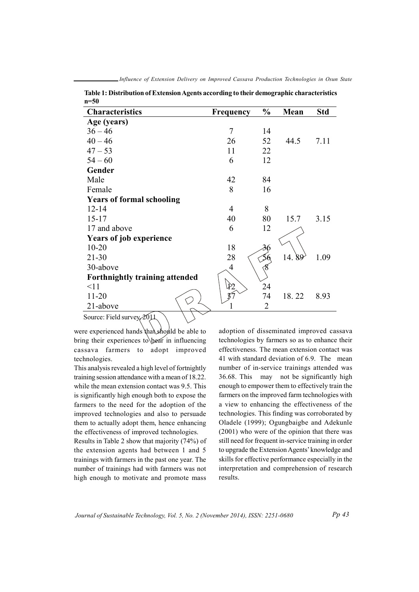| 11–JV                            |                  |               |       |      |
|----------------------------------|------------------|---------------|-------|------|
| <b>Characteristics</b>           | <b>Frequency</b> | $\frac{0}{0}$ | Mean  | Std  |
| Age (years)                      |                  |               |       |      |
| $36 - 46$                        | 7                | 14            |       |      |
| $40 - 46$                        | 26               | 52            | 44.5  | 7.11 |
| $47 - 53$                        | 11               | 22            |       |      |
| $54 - 60$                        | 6                | 12            |       |      |
| Gender                           |                  |               |       |      |
| Male                             | 42               | 84            |       |      |
| Female                           | 8                | 16            |       |      |
| <b>Years of formal schooling</b> |                  |               |       |      |
| $12 - 14$                        | 4                | 8             |       |      |
| $15 - 17$                        | 40               | 80            | 15.7  | 3.15 |
| 17 and above                     | 6                | 12            |       |      |
| <b>Years of job experience</b>   |                  |               |       |      |
| $10 - 20$                        | 18               |               |       |      |
| $21 - 30$                        | 28               |               | 14.89 | 1.09 |
| 30-above                         | 4                | 8             |       |      |
| Forthnightly training attended   |                  |               |       |      |
| <11                              | Ì2               | 24            |       |      |
| $11 - 20$                        |                  | 74            | 18.22 | 8.93 |
| 21-above                         |                  | 2             |       |      |
| Source: Field survey 2011        |                  |               |       |      |

Table 1: Distribution of Extension Agents according to their demographic characteristics  $\overline{z}$ 

Source: Field survey  $2011$ 

were experienced hands that should be able to bring their experiences to bear in influencing cassava farmers to adopt improved technologies.

This analysis revealed a high level of fortnightly training session attendance with a mean of 18.22. while the mean extension contact was 9.5. This is significantly high enough both to expose the farmers to the need for the adoption of the improved technologies and also to persuade them to actually adopt them, hence enhancing the effectiveness of improved technologies.

Results in Table 2 show that majority (74%) of the extension agents had between 1 and 5 trainings with farmers in the past one year. The number of trainings had with farmers was not high enough to motivate and promote mass

adoption of disseminated improved cassava technologies by farmers so as to enhance their effectiveness. The mean extension contact was 41 with standard deviation of 6.9. The mean number of in-service trainings attended was 36.68. This may not be significantly high enough to empower them to effectively train the farmers on the improved farm technologies with a view to enhancing the effectiveness of the technologies. This finding was corroborated by Oladele (1999); Ogungbaigbe and Adekunle (2001) who were of the opinion that there was still need for frequent in-service training in order to upgrade the Extension Agents' knowledge and skills for effective performance especially in the interpretation and comprehension of research results.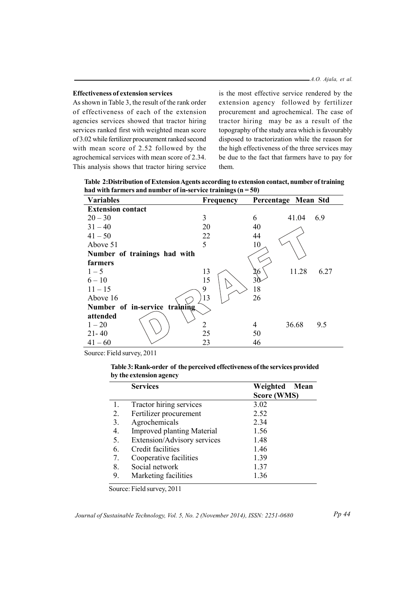### **Effectiveness of extension services**

As shown in Table 3, the result of the rank order of effectiveness of each of the extension agencies services showed that tractor hiring services ranked first with weighted mean score of 3.02 while fertilizer procurement ranked second with mean score of 2.52 followed by the agrochemical services with mean score of 2.34. This analysis shows that tractor hiring service

is the most effective service rendered by the extension agency followed by fertilizer procurement and agrochemical. The case of tractor hiring may be as a result of the topography of the study area which is favourably disposed to tractorization while the reason for the high effectiveness of the three services may be due to the fact that farmers have to pay for them

Table 2: Distribution of Extension Agents according to extension contact, number of training had with farmers and number of in-service trainings  $(n = 50)$ 

| <b>Variables</b>              | <b>Frequency</b> | Percentage Mean Std |  |  |  |
|-------------------------------|------------------|---------------------|--|--|--|
| <b>Extension contact</b>      |                  |                     |  |  |  |
| $20 - 30$                     | 3                | 41.04<br>6.9<br>6   |  |  |  |
| $31 - 40$                     | 20               | 40                  |  |  |  |
| $41 - 50$                     | 22               | 44                  |  |  |  |
| Above 51                      | 5                | 10                  |  |  |  |
| Number of trainings had with  |                  |                     |  |  |  |
| farmers                       |                  |                     |  |  |  |
| $1 - 5$                       | 13               | 11.28<br>6.27<br>26 |  |  |  |
| $6 - 10$                      | 15               | 30                  |  |  |  |
| $11 - 15$                     | 9                | 18                  |  |  |  |
| Above 16                      | 13               | 26                  |  |  |  |
| Number of in-service training |                  |                     |  |  |  |
| attended                      |                  |                     |  |  |  |
| $1 - 20$                      | $\overline{2}$   | 36.68<br>9.5<br>4   |  |  |  |
| $21 - 40$                     | 25               | 50                  |  |  |  |
| $41 - 60$                     | 23               | 46                  |  |  |  |

Source: Field survey, 2011

Table 3: Rank-order of the perceived effectiveness of the services provided by the extension agency

|    | <b>Services</b>                   | Weighted Mean |  |  |
|----|-----------------------------------|---------------|--|--|
|    |                                   | Score (WMS)   |  |  |
| 1. | Tractor hiring services           | 3.02          |  |  |
| 2. | Fertilizer procurement            | 2.52          |  |  |
| 3. | Agrochemicals                     | 2.34          |  |  |
| 4. | <b>Improved planting Material</b> | 1.56          |  |  |
| 5. | Extension/Advisory services       | 1.48          |  |  |
| 6. | Credit facilities                 | 1.46          |  |  |
| 7. | Cooperative facilities            | 1.39          |  |  |
| 8. | Social network                    | 1.37          |  |  |
| 9. | Marketing facilities              | 1.36          |  |  |

Source: Field survey, 2011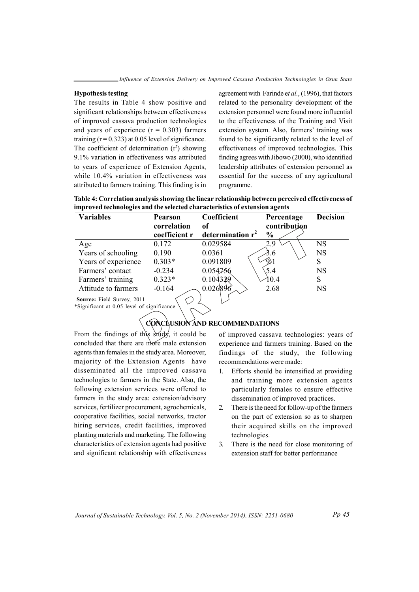#### **Hypothesis testing**

The results in Table 4 show positive and significant relationships between effectiveness of improved cassava production technologies and years of experience  $(r = 0.303)$  farmers training  $(r = 0.323)$  at 0.05 level of significance. The coefficient of determination  $(r^2)$  showing 9.1% variation in effectiveness was attributed to years of experience of Extension Agents. while 10.4% variation in effectiveness was attributed to farmers training. This finding is in

agreement with Farinde et al., (1996), that factors related to the personality development of the extension personnel were found more influential to the effectiveness of the Training and Visit extension system. Also, farmers' training was found to be significantly related to the level of effectiveness of improved technologies. This finding agrees with Jibowo (2000), who identified leadership attributes of extension personnel as essential for the success of any agricultural programme.

| Table 4: Correlation analysis showing the linear relationship between perceived effectiveness of |
|--------------------------------------------------------------------------------------------------|
| improved technologies and the selected characteristics of extension agents                       |

| <b>Variables</b>    | <b>Pearson</b><br>correlation<br>coefficient r | Coefficient<br>оf<br>determination $r^2$ | Percentage<br>contribution<br>$\frac{0}{0}$ | <b>Decision</b> |
|---------------------|------------------------------------------------|------------------------------------------|---------------------------------------------|-----------------|
| Age                 | 0.172                                          | 0.029584                                 | 29                                          | <b>NS</b>       |
| Years of schooling  | 0.190                                          | 0.0361                                   | 3.6                                         | <b>NS</b>       |
| Years of experience | $0.303*$                                       | 0.091809                                 |                                             | S               |
| Farmers' contact    | $-0.234$                                       | 0.054756                                 | 5.4                                         | <b>NS</b>       |
| Farmers' training   | $0.323*$                                       | 0.104339                                 | 10.4                                        | S               |
| Attitude to farmers | $-0.164$                                       | 0.026896                                 | 2.68                                        | <b>NS</b>       |

Source: Field Survey, 2011 \*Significant at 0.05 level of significance

### **CONCLUSION AND RECOMMENDATIONS**

From the findings of this study, it could be concluded that there are more male extension agents than females in the study area. Moreover, majority of the Extension Agents have disseminated all the improved cassava technologies to farmers in the State. Also, the following extension services were offered to farmers in the study area: extension/advisory services, fertilizer procurement, agrochemicals, cooperative facilities, social networks, tractor hiring services, credit facilities, improved planting materials and marketing. The following characteristics of extension agents had positive and significant relationship with effectiveness

of improved cassava technologies: years of experience and farmers training. Based on the findings of the study, the following recommendations were made:

- $\mathbf{1}$ Efforts should be intensified at providing and training more extension agents particularly females to ensure effective dissemination of improved practices.
- $2.$ There is the need for follow-up of the farmers on the part of extension so as to sharpen their acquired skills on the improved technologies.
- There is the need for close monitoring of  $\overline{3}$ . extension staff for better performance